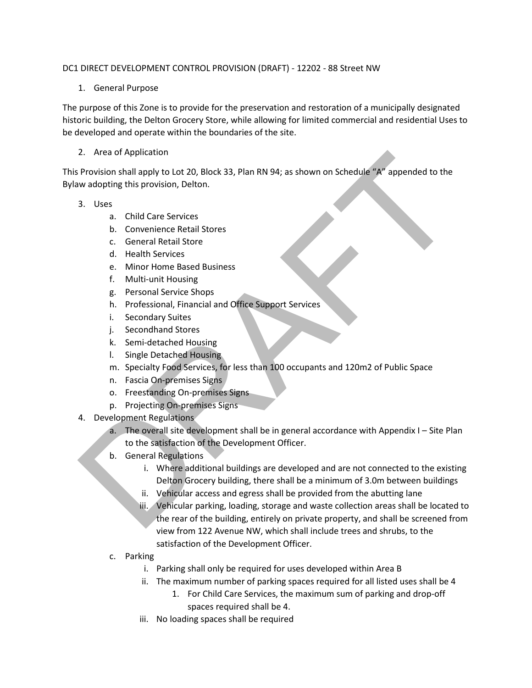#### DC1 DIRECT DEVELOPMENT CONTROL PROVISION (DRAFT) - 12202 - 88 Street NW

## 1. General Purpose

The purpose of this Zone is to provide for the preservation and restoration of a municipally designated historic building, the Delton Grocery Store, while allowing for limited commercial and residential Uses to be developed and operate within the boundaries of the site.

## 2. Area of Application

This Provision shall apply to Lot 20, Block 33, Plan RN 94; as shown on Schedule "A" appended to the Bylaw adopting this provision, Delton.

#### 3. Uses

- a. Child Care Services
- b. Convenience Retail Stores
- c. General Retail Store
- d. Health Services
- e. Minor Home Based Business
- f. Multi-unit Housing
- g. Personal Service Shops
- h. Professional, Financial and Office Support Services
- i. Secondary Suites
- j. Secondhand Stores
- k. Semi-detached Housing
- l. Single Detached Housing
- m. Specialty Food Services, for less than 100 occupants and 120m2 of Public Space
- n. Fascia On-premises Signs
- o. Freestanding On-premises Signs
- p. Projecting On-premises Signs
- 4. Development Regulations
	- a. The overall site development shall be in general accordance with Appendix I Site Plan to the satisfaction of the Development Officer.
	- b. General Regulations
		- i. Where additional buildings are developed and are not connected to the existing Delton Grocery building, there shall be a minimum of 3.0m between buildings
		- ii. Vehicular access and egress shall be provided from the abutting lane
- iii. Vehicular parking, loading, storage and waste collection areas shall be located to the rear of the building, entirely on private property, and shall be screened from view from 122 Avenue NW, which shall include trees and shrubs, to the satisfaction of the Development Officer. 2. Area of Application<br>
Provision shall apply to Lot 20, Block 33, Plan RN 94; as shown on Schedule" A" appended to the<br>
wixedopting this provision, Delton.<br>
3. Uses<br>
a. Child Care Services<br>
b. Convenience Retail Stores<br>
	- c. Parking
		- i. Parking shall only be required for uses developed within Area B
		- ii. The maximum number of parking spaces required for all listed uses shall be 4
			- 1. For Child Care Services, the maximum sum of parking and drop-off spaces required shall be 4.
		- iii. No loading spaces shall be required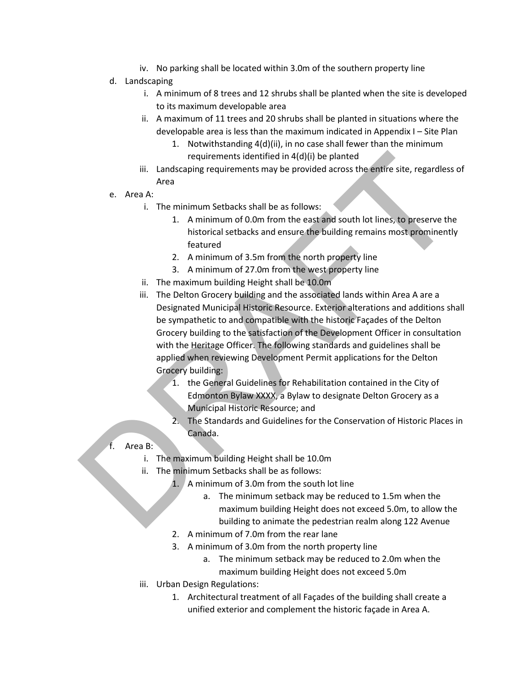- iv. No parking shall be located within 3.0m of the southern property line
- d. Landscaping
	- i. A minimum of 8 trees and 12 shrubs shall be planted when the site is developed to its maximum developable area
	- ii. A maximum of 11 trees and 20 shrubs shall be planted in situations where the developable area is less than the maximum indicated in Appendix I – Site Plan
		- 1. Notwithstanding 4(d)(ii), in no case shall fewer than the minimum requirements identified in 4(d)(i) be planted
	- iii. Landscaping requirements may be provided across the entire site, regardless of Area
- e. Area A:
	- i. The minimum Setbacks shall be as follows:
		- 1. A minimum of 0.0m from the east and south lot lines, to preserve the historical setbacks and ensure the building remains most prominently featured
		- 2. A minimum of 3.5m from the north property line
		- 3. A minimum of 27.0m from the west property line
	- ii. The maximum building Height shall be 10.0m
- iii. The Delton Grocery building and the associated lands within Area A are a Designated Municipal Historic Resource. Exterior alterations and additions shall be sympathetic to and compatible with the historic Façades of the Delton Grocery building to the satisfaction of the Development Officer in consultation with the Heritage Officer. The following standards and guidelines shall be applied when reviewing Development Permit applications for the Delton Grocery building: requirements identified in 4(d)(i) be planted<br>
iii. Landscaping requirements may be provided across the entire site, regardless<br>
Area<br>
e. Area A:<br>
1. The minimum Setbacks shall be as follows:<br>
1. A minimum of 0.0m from th
	- 1. the General Guidelines for Rehabilitation contained in the City of Edmonton Bylaw XXXX, a Bylaw to designate Delton Grocery as a Municipal Historic Resource; and
	- 2. The Standards and Guidelines for the Conservation of Historic Places in Canada.

# f. Area B:

- i. The maximum building Height shall be 10.0m
- ii. The minimum Setbacks shall be as follows:
	- 1. A minimum of 3.0m from the south lot line
		- a. The minimum setback may be reduced to 1.5m when the maximum building Height does not exceed 5.0m, to allow the building to animate the pedestrian realm along 122 Avenue
	- 2. A minimum of 7.0m from the rear lane
	- 3. A minimum of 3.0m from the north property line
		- a. The minimum setback may be reduced to 2.0m when the maximum building Height does not exceed 5.0m
	- iii. Urban Design Regulations:
		- 1. Architectural treatment of all Façades of the building shall create a unified exterior and complement the historic façade in Area A.